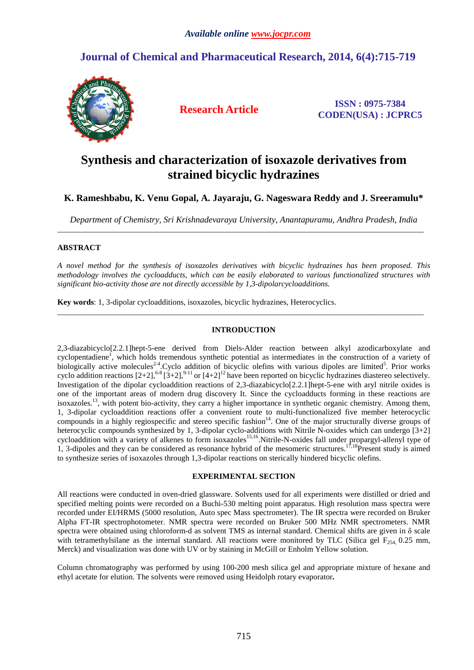## **Journal of Chemical and Pharmaceutical Research, 2014, 6(4):715-719**



**Research Article ISSN : 0975-7384 CODEN(USA) : JCPRC5**

# **Synthesis and characterization of isoxazole derivatives from strained bicyclic hydrazines**

### **K. Rameshbabu, K. Venu Gopal, A. Jayaraju, G. Nageswara Reddy and J. Sreeramulu\***

*Department of Chemistry, Sri Krishnadevaraya University, Anantapuramu, Andhra Pradesh, India*  \_\_\_\_\_\_\_\_\_\_\_\_\_\_\_\_\_\_\_\_\_\_\_\_\_\_\_\_\_\_\_\_\_\_\_\_\_\_\_\_\_\_\_\_\_\_\_\_\_\_\_\_\_\_\_\_\_\_\_\_\_\_\_\_\_\_\_\_\_\_\_\_\_\_\_\_\_\_\_\_\_\_\_\_\_\_\_\_\_\_\_\_

#### **ABSTRACT**

*A novel method for the synthesis of isoxazoles derivatives with bicyclic hydrazines has been proposed. This methodology involves the cycloadducts, which can be easily elaborated to various functionalized structures with significant bio-activity those are not directly accessible by 1,3-dipolarcycloadditions.* 

**Key words**: 1, 3-dipolar cycloadditions, isoxazoles, bicyclic hydrazines, Heterocyclics.

#### **INTRODUCTION**

\_\_\_\_\_\_\_\_\_\_\_\_\_\_\_\_\_\_\_\_\_\_\_\_\_\_\_\_\_\_\_\_\_\_\_\_\_\_\_\_\_\_\_\_\_\_\_\_\_\_\_\_\_\_\_\_\_\_\_\_\_\_\_\_\_\_\_\_\_\_\_\_\_\_\_\_\_\_\_\_\_\_\_\_\_\_\_\_\_\_\_\_

2,3-diazabicyclo[2.2.1]hept-5-ene derived from Diels-Alder reaction between alkyl azodicarboxylate and cyclopentadiene<sup>1</sup>, which holds tremendous synthetic potential as intermediates in the construction of a variety of biologically active molecules<sup>2-4</sup>. Cyclo addition of bicyclic olefins with various dipoles are limited<sup>5</sup>. Prior works cyclo addition reactions  $[2+2]$ , <sup>6-8</sup> $[3+2]$ , <sup>9-11</sup> or  $[4+2]$ <sup>12</sup> have been reported on bicyclic hydrazines diastereo selectively. Investigation of the dipolar cycloaddition reactions of 2,3-diazabicyclo[2.2.1]hept-5-ene with aryl nitrile oxides is one of the important areas of modern drug discovery It. Since the cycloadducts forming in these reactions are isoxazoles.<sup>13</sup>, with potent bio-activity, they carry a higher importance in synthetic organic chemistry. Among them, 1, 3-dipolar cycloaddition reactions offer a convenient route to multi-functionalized five member heterocyclic compounds in a highly regiospecific and stereo specific fashion<sup>14</sup>. One of the major structurally diverse groups of heterocyclic compounds synthesized by 1, 3-dipolar cyclo-additions with Nitrile N-oxides which can undergo [3+2] cycloaddition with a variety of alkenes to form isoxazoles<sup>15,16</sup>.Nitrile-N-oxides fall under propargyl-allenyl type of 1, 3-dipoles and they can be considered as resonance hybrid of the mesomeric structures.<sup>17,18</sup>Present study is aimed to synthesize series of isoxazoles through 1,3-dipolar reactions on sterically hindered bicyclic olefins.

#### **EXPERIMENTAL SECTION**

All reactions were conducted in oven-dried glassware. Solvents used for all experiments were distilled or dried and specified melting points were recorded on a Buchi-530 melting point apparatus. High resolution mass spectra were recorded under EI/HRMS (5000 resolution, Auto spec Mass spectrometer). The IR spectra were recorded on Bruker Alpha FT-IR spectrophotometer. NMR spectra were recorded on Bruker 500 MHz NMR spectrometers. NMR spectra were obtained using chloroform-d as solvent TMS as internal standard. Chemical shifts are given in δ scale with tetramethylsilane as the internal standard. All reactions were monitored by TLC (Silica gel  $F_{254}$  0.25 mm, Merck) and visualization was done with UV or by staining in McGill or Enholm Yellow solution.

Column chromatography was performed by using 100-200 mesh silica gel and appropriate mixture of hexane and ethyl acetate for elution. The solvents were removed using Heidolph rotary evaporator**.**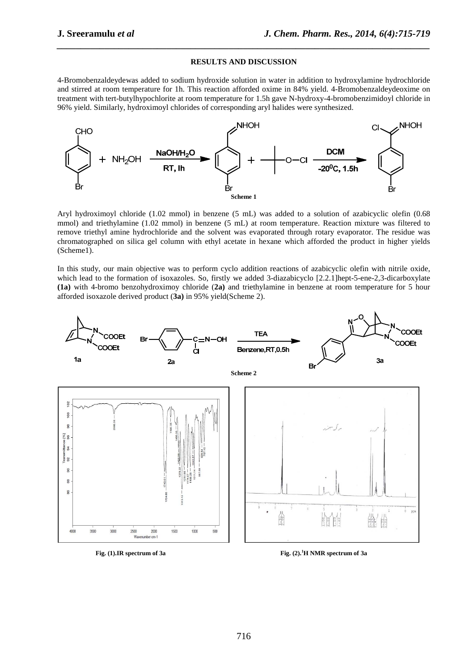#### **RESULTS AND DISCUSSION**

*\_\_\_\_\_\_\_\_\_\_\_\_\_\_\_\_\_\_\_\_\_\_\_\_\_\_\_\_\_\_\_\_\_\_\_\_\_\_\_\_\_\_\_\_\_\_\_\_\_\_\_\_\_\_\_\_\_\_\_\_\_\_\_\_\_\_\_\_\_\_\_\_\_\_\_\_\_\_*

4-Bromobenzaldeydewas added to sodium hydroxide solution in water in addition to hydroxylamine hydrochloride and stirred at room temperature for 1h. This reaction afforded oxime in 84% yield. 4-Bromobenzaldeydeoxime on treatment with tert-butylhypochlorite at room temperature for 1.5h gave N-hydroxy-4-bromobenzimidoyl chloride in 96% yield. Similarly, hydroximoyl chlorides of corresponding aryl halides were synthesized.



Aryl hydroximoyl chloride (1.02 mmol) in benzene (5 mL) was added to a solution of azabicyclic olefin (0.68 mmol) and triethylamine (1.02 mmol) in benzene (5 mL) at room temperature. Reaction mixture was filtered to remove triethyl amine hydrochloride and the solvent was evaporated through rotary evaporator. The residue was chromatographed on silica gel column with ethyl acetate in hexane which afforded the product in higher yields (Scheme1).

In this study, our main objective was to perform cyclo addition reactions of azabicyclic olefin with nitrile oxide, which lead to the formation of isoxazoles. So, firstly we added 3-diazabicyclo [2.2.1]hept-5-ene-2,3-dicarboxylate **(1a)** with 4-bromo benzohydroximoy chloride (**2a)** and triethylamine in benzene at room temperature for 5 hour afforded isoxazole derived product (**3a)** in 95% yield(Scheme 2).



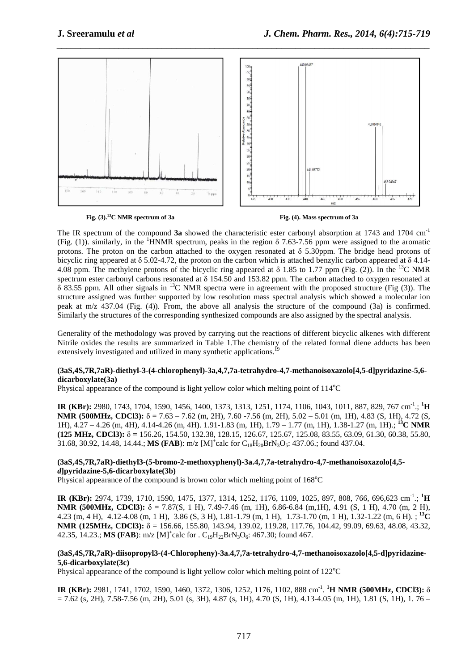

*\_\_\_\_\_\_\_\_\_\_\_\_\_\_\_\_\_\_\_\_\_\_\_\_\_\_\_\_\_\_\_\_\_\_\_\_\_\_\_\_\_\_\_\_\_\_\_\_\_\_\_\_\_\_\_\_\_\_\_\_\_\_\_\_\_\_\_\_\_\_\_\_\_\_\_\_\_\_*

**Fig.** (3).<sup>13</sup>C NMR spectrum of 3a **Fig.** (4). Mass spectrum of 3a

The IR spectrum of the compound **3a** showed the characteristic ester carbonyl absorption at 1743 and 1704 cm-1 (Fig. (1)). similarly, in the <sup>1</sup>HNMR spectrum, peaks in the region  $\delta$  7.63-7.56 ppm were assigned to the aromatic protons. The proton on the carbon attached to the oxygen resonated at  $\delta$  5.30ppm. The bridge head protons of bicyclic ring appeared at  $\delta$  5.02-4.72, the proton on the carbon which is attached benzylic carbon appeared at  $\delta$  4.14-4.08 ppm. The methylene protons of the bicyclic ring appeared at  $\delta$  1.85 to 1.77 ppm (Fig. (2)). In the <sup>13</sup>C NMR spectrum ester carbonyl carbons resonated at  $\delta$  154.50 and 153.82 ppm. The carbon attached to oxygen resonated at  $\delta$  83.55 ppm. All other signals in <sup>13</sup>C NMR spectra were in agreement with the proposed structure (Fig (3)). The structure assigned was further supported by low resolution mass spectral analysis which showed a molecular ion peak at m/z 437.04 (Fig. (4)). From, the above all analysis the structure of the compound (3a) is confirmed. Similarly the structures of the corresponding synthesized compounds are also assigned by the spectral analysis.

Generality of the methodology was proved by carrying out the reactions of different bicyclic alkenes with different Nitrile oxides the results are summarized in Table 1.The chemistry of the related formal diene adducts has been extensively investigated and utilized in many synthetic applications.<sup>19</sup>

#### **(3aS,4S,7R,7aR)-diethyl-3-(4-chlorophenyl)-3a,4,7,7a-tetrahydro-4,7-methanoisoxazolo[4,5-d]pyridazine-5,6 dicarboxylate(3a)**

Physical appearance of the compound is light yellow color which melting point of  $114^{\circ}C$ 

**IR (KBr):** 2980, 1743, 1704, 1590, 1456, 1400, 1373, 1313, 1251, 1174, 1106, 1043, 1011, 887, 829, 767 cm-1.; **<sup>1</sup>H NMR (500MHz, CDCl3):** δ = 7.63 – 7.62 (m, 2H), 7.60 -7.56 (m, 2H), 5.02 – 5.01 (m, 1H), 4.83 (S, 1H), 4.72 (S, 1H), 4.27 – 4.26 (m, 4H), 4.14-4.26 (m, 4H). 1.91-1.83 (m, 1H), 1.79 – 1.77 (m, 1H), 1.38-1.27 (m, 1H).; **<sup>13</sup>C NMR (125 MHz, CDCl3):** δ = 156.26, 154.50, 132.38, 128.15, 126.67, 125.67, 125.08, 83.55, 63.09, 61.30, 60.38, 55.80, 31.68, 30.92, 14.48, 14.44.; **MS (FAB**):  $m/z$  [M]<sup>+</sup>calc for C<sub>18</sub>H<sub>20</sub>BrN<sub>3</sub>O<sub>5</sub>: 437.06.; found 437.04.

#### **(3aS,4S,7R,7aR)-diethyl3-(5-bromo-2-methoxyphenyl)-3a.4,7,7a-tetrahydro-4,7-methanoisoxazolo[4,5** *d***]pyridazine-5,6-dicarboxylate(3b)**

Physical appearance of the compound is brown color which melting point of  $168^{\circ}$ C

**IR (KBr):** 2974, 1739, 1710, 1590, 1475, 1377, 1314, 1252, 1176, 1109, 1025, 897, 808, 766, 696,623 cm-1.; **<sup>1</sup>H NMR (500MHz, CDCl3):** δ = 7.87(S, 1 H), 7.49-7.46 (m, 1H), 6.86-6.84 (m,1H), 4.91 (S, 1 H), 4.70 (m, 2 H), 4.23 (m, 4 H), 4.12-4.08 (m, 1 H), 3.86 (S, 3 H), 1.81-1.79 (m, 1 H), 1.73-1.70 (m, 1 H), 1.32-1.22 (m, 6 H). ; **<sup>13</sup>C NMR (125MHz, CDCl3):** δ = 156.66, 155.80, 143.94, 139.02, 119.28, 117.76, 104.42, 99.09, 69.63, 48.08, 43.32, 42.35, 14.23.; **MS (FAB)**:  $m/z$  [M]<sup>+</sup>calc for . C<sub>19</sub>H<sub>22</sub>BrN<sub>3</sub>O<sub>6</sub>: 467.30; found 467.

#### **(3aS,4S,7R,7aR)-diisopropyl3-(4-Chloropheny)-3a.4,7,7a-tetrahydro-4,7-methanoisoxazolo[4,5-d]pyridazine-5,6-dicarboxylate(3c)**

Physical appearance of the compound is light yellow color which melting point of  $122^{\circ}$ C

**IR (KBr):** 2981, 1741, 1702, 1590, 1460, 1372, 1306, 1252, 1176, 1102, 888 cm-1 . **<sup>1</sup>H NMR (500MHz, CDCl3):** δ  $= 7.62$  (s, 2H), 7.58-7.56 (m, 2H), 5.01 (s, 3H), 4.87 (s, 1H), 4.70 (S, 1H), 4.13-4.05 (m, 1H), 1.81 (S, 1H), 1.76 –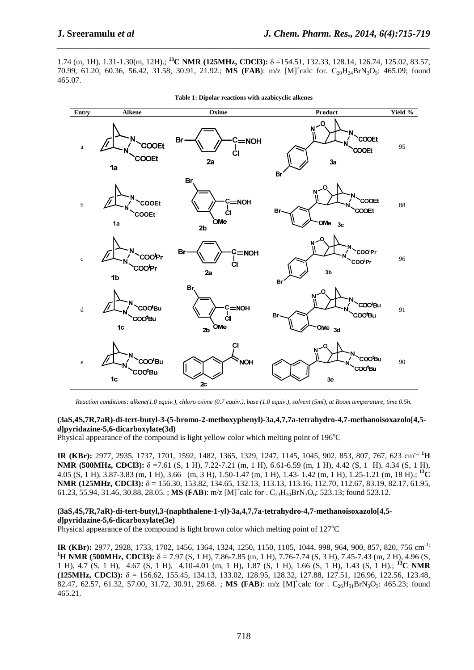1.74 (m, 1H), 1.31-1.30(m, 12H).; **<sup>13</sup>C NMR (125MHz, CDCl3):** δ =154.51, 132.33, 128.14, 126.74, 125.02, 83.57, 70.99, 61.20, 60.36, 56.42, 31.58, 30.91, 21.92.; **MS (FAB**): m/z [M]<sup>+</sup>calc for. C<sub>20</sub>H<sub>24</sub>BrN<sub>3</sub>O<sub>5</sub>: 465.09; found 465.07.

*\_\_\_\_\_\_\_\_\_\_\_\_\_\_\_\_\_\_\_\_\_\_\_\_\_\_\_\_\_\_\_\_\_\_\_\_\_\_\_\_\_\_\_\_\_\_\_\_\_\_\_\_\_\_\_\_\_\_\_\_\_\_\_\_\_\_\_\_\_\_\_\_\_\_\_\_\_\_*



|  |  |  |  |  | Table 1: Dipolar reactions with azabicyclic alkenes |  |
|--|--|--|--|--|-----------------------------------------------------|--|
|--|--|--|--|--|-----------------------------------------------------|--|

*Reaction conditions: alkene(1.0 equiv.), chloro oxime (0.7 equiv.), base (1.0 equiv.), solvent (5ml), at Room temperature, time 0.5h.*

#### **(3aS,4S,7R,7aR)-di-tert-butyl-3-(5-bromo-2-methoxyphenyl)-3a,4,7,7a-tetrahydro-4,7-methanoisoxazolo[4,5** *d***]pyridazine-5,6-dicarboxylate(3d)**

Physical appearance of the compound is light yellow color which melting point of  $196^{\circ}$ C

**IR (KBr):** 2977, 2935, 1737, 1701, 1592, 1482, 1365, 1329, 1247, 1145, 1045, 902, 853, 807, 767, 623 cm-1; **<sup>1</sup>H NMR (500MHz, CDCl3):** δ =7.61 (S, 1 H), 7.22-7.21 (m, 1 H), 6.61-6.59 (m, 1 H), 4.42 (S, 1 H), 4.34 (S, 1 H), 4.05 (S, 1 H), 3.87-3.83 (m, 1 H), 3.66 (m, 3 H), 1.50-1.47 (m, 1 H), 1.43- 1.42 (m, 1 H), 1.25-1.21 (m, 18 H).; **<sup>13</sup>C NMR (125MHz, CDCl3):** δ = 156.30, 153.82, 134.65, 132.13, 113.13, 113.16, 112.70, 112.67, 83.19, 82.17, 61.95, 61.23, 55.94, 31.46, 30.88, 28.05. ; **MS (FAB**): m/z [M]<sup>+</sup>calc for . C<sub>23</sub>H<sub>30</sub>BrN<sub>3</sub>O<sub>6</sub>: 523.13; found 523.12.

#### **(3aS,4S,7R,7aR)-di-tert-butyl,3-(naphthalene-1-yl)-3a,4,7,7a-tetrahydro-4,7-methanoisoxazolo[4,5** *d***]pyridazine-5,6-dicarboxylate(3e)**

Physical appearance of the compound is light brown color which melting point of  $127^{\circ}$ C

**IR (KBr):** 2977, 2928, 1733, 1702, 1456, 1364, 1324, 1250, 1150, 1105, 1044, 998, 964, 900, 857, 820, 756 cm-1; **<sup>1</sup>H NMR (500MHz, CDCl3):** δ = 7.97 (S, 1 H), 7.86-7.85 (m, 1 H), 7.76-7.74 (S, 3 H), 7.45-7.43 (m, 2 H), 4.96 (S, 1 H), 4.7 (S, 1 H), 4.67 (S, 1 H), 4.10-4.01 (m, 1 H), 1.87 (S, 1 H), 1.66 (S, 1 H), 1.43 (S, 1 H).; **<sup>13</sup>C NMR (125MHz, CDCl3):** δ = 156.62, 155.45, 134.13, 133.02, 128.95, 128.32, 127.88, 127.51, 126.96, 122.56, 123.48, 82.47, 62.57, 61.32, 57.00, 31.72, 30.91, 29.68.; **MS (FAB**): m/z [M]<sup>+</sup>calc for . C<sub>26</sub>H<sub>31</sub>BrN<sub>3</sub>O<sub>5</sub>: 465.23; found 465.21.